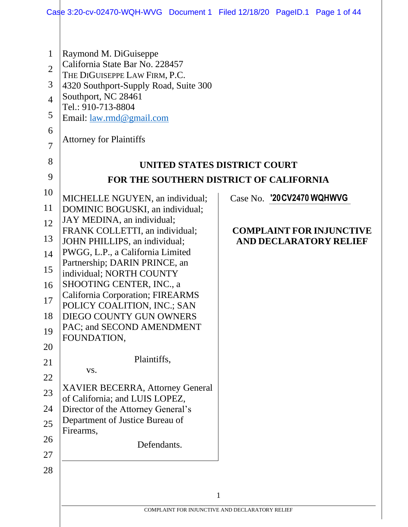| $\mathbf{1}$<br>$\overline{2}$<br>3<br>$\overline{4}$<br>5<br>6<br>$\overline{7}$<br>8<br>9 | Raymond M. DiGuiseppe<br>California State Bar No. 228457<br>THE DIGUISEPPE LAW FIRM, P.C.<br>4320 Southport-Supply Road, Suite 300<br>Southport, NC 28461<br>Tel.: 910-713-8804<br>Email: <u>law.rmd@gmail.com</u><br><b>Attorney for Plaintiffs</b><br>UNITED STATES DISTRICT COURT<br>FOR THE SOUTHERN DISTRICT OF CALIFORNIA |                                 |
|---------------------------------------------------------------------------------------------|---------------------------------------------------------------------------------------------------------------------------------------------------------------------------------------------------------------------------------------------------------------------------------------------------------------------------------|---------------------------------|
| 10                                                                                          | MICHELLE NGUYEN, an individual;                                                                                                                                                                                                                                                                                                 | Case No. '20 CV 2470 WQHWVG     |
| 11                                                                                          | DOMINIC BOGUSKI, an individual;                                                                                                                                                                                                                                                                                                 |                                 |
| 12                                                                                          | JAY MEDINA, an individual;<br>FRANK COLLETTI, an individual;                                                                                                                                                                                                                                                                    | <b>COMPLAINT FOR INJUNCTIVE</b> |
| 13                                                                                          | JOHN PHILLIPS, an individual;                                                                                                                                                                                                                                                                                                   | <b>AND DECLARATORY RELIEF</b>   |
| 14                                                                                          | PWGG, L.P., a California Limited<br>Partnership; DARIN PRINCE, an                                                                                                                                                                                                                                                               |                                 |
| 15                                                                                          | individual; NORTH COUNTY                                                                                                                                                                                                                                                                                                        |                                 |
| 16                                                                                          | SHOOTING CENTER, INC., a                                                                                                                                                                                                                                                                                                        |                                 |
| 17                                                                                          | <b>California Corporation; FIREARMS</b><br>POLICY COALITION, INC.; SAN                                                                                                                                                                                                                                                          |                                 |
| 18                                                                                          | DIEGO COUNTY GUN OWNERS                                                                                                                                                                                                                                                                                                         |                                 |
| 19                                                                                          | PAC; and SECOND AMENDMENT                                                                                                                                                                                                                                                                                                       |                                 |
| 20                                                                                          | FOUNDATION,                                                                                                                                                                                                                                                                                                                     |                                 |
| 21                                                                                          | Plaintiffs,                                                                                                                                                                                                                                                                                                                     |                                 |
| 22                                                                                          | VS.                                                                                                                                                                                                                                                                                                                             |                                 |
| 23                                                                                          | <b>XAVIER BECERRA, Attorney General</b>                                                                                                                                                                                                                                                                                         |                                 |
| 24                                                                                          | of California; and LUIS LOPEZ,<br>Director of the Attorney General's                                                                                                                                                                                                                                                            |                                 |
| 25                                                                                          | Department of Justice Bureau of                                                                                                                                                                                                                                                                                                 |                                 |
| 26                                                                                          | Firearms,                                                                                                                                                                                                                                                                                                                       |                                 |
| 27                                                                                          | Defendants.                                                                                                                                                                                                                                                                                                                     |                                 |
| 28                                                                                          |                                                                                                                                                                                                                                                                                                                                 |                                 |
|                                                                                             |                                                                                                                                                                                                                                                                                                                                 |                                 |
|                                                                                             | $\mathbf{1}$                                                                                                                                                                                                                                                                                                                    |                                 |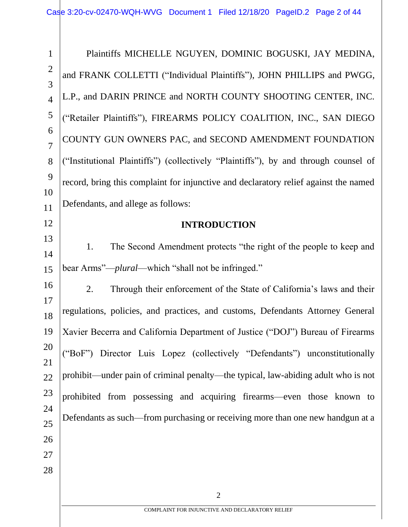2 1 2 3 4 5 6 7 8 9 10 11 12 13 14 15 16 17 18 19 20 21 22 23 24 25 26 27 28 Plaintiffs MICHELLE NGUYEN, DOMINIC BOGUSKI, JAY MEDINA, and FRANK COLLETTI ("Individual Plaintiffs"), JOHN PHILLIPS and PWGG, L.P., and DARIN PRINCE and NORTH COUNTY SHOOTING CENTER, INC. ("Retailer Plaintiffs"), FIREARMS POLICY COALITION, INC., SAN DIEGO COUNTY GUN OWNERS PAC, and SECOND AMENDMENT FOUNDATION ("Institutional Plaintiffs") (collectively "Plaintiffs"), by and through counsel of record, bring this complaint for injunctive and declaratory relief against the named Defendants, and allege as follows: **INTRODUCTION** 1. The Second Amendment protects "the right of the people to keep and bear Arms"—*plural*—which "shall not be infringed." 2. Through their enforcement of the State of California's laws and their regulations, policies, and practices, and customs, Defendants Attorney General Xavier Becerra and California Department of Justice ("DOJ") Bureau of Firearms ("BoF") Director Luis Lopez (collectively "Defendants") unconstitutionally prohibit—under pain of criminal penalty—the typical, law-abiding adult who is not prohibited from possessing and acquiring firearms—even those known to Defendants as such—from purchasing or receiving more than one new handgun at a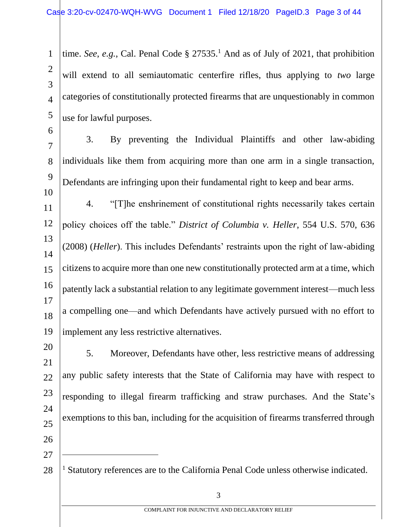1 2 3 4 5 time. *See*, *e.g.*, Cal. Penal Code  $\S 27535$ .<sup>1</sup> And as of July of 2021, that prohibition will extend to all semiautomatic centerfire rifles, thus applying to *two* large categories of constitutionally protected firearms that are unquestionably in common use for lawful purposes.

6

10

7 8 9 3. By preventing the Individual Plaintiffs and other law-abiding individuals like them from acquiring more than one arm in a single transaction, Defendants are infringing upon their fundamental right to keep and bear arms.

11 12 13 14 15 16 17 18 19 4. "[T]he enshrinement of constitutional rights necessarily takes certain policy choices off the table." *District of Columbia v. Heller*, 554 U.S. 570, 636 (2008) (*Heller*). This includes Defendants' restraints upon the right of law-abiding citizens to acquire more than one new constitutionally protected arm at a time, which patently lack a substantial relation to any legitimate government interest—much less a compelling one—and which Defendants have actively pursued with no effort to implement any less restrictive alternatives.

20

21 22 23 24 25 26 5. Moreover, Defendants have other, less restrictive means of addressing any public safety interests that the State of California may have with respect to responding to illegal firearm trafficking and straw purchases. And the State's exemptions to this ban, including for the acquisition of firearms transferred through

27

28 <sup>1</sup> Statutory references are to the California Penal Code unless otherwise indicated.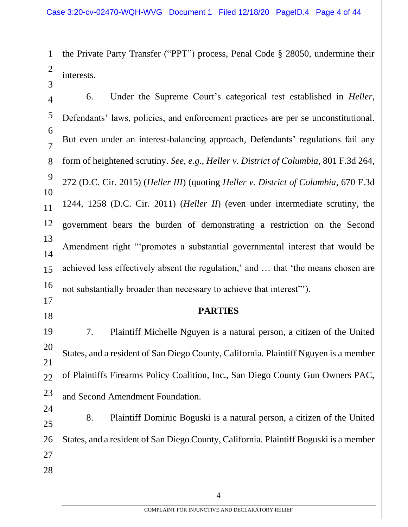1 2 the Private Party Transfer ("PPT") process, Penal Code § 28050, undermine their interests.

3

17

18

4 5 6 7 8 9 10 11 12 13 14 15 16 6. Under the Supreme Court's categorical test established in *Heller*, Defendants' laws, policies, and enforcement practices are per se unconstitutional. But even under an interest-balancing approach, Defendants' regulations fail any form of heightened scrutiny. *See*, *e.g.*, *Heller v. District of Columbia*, 801 F.3d 264, 272 (D.C. Cir. 2015) (*Heller III*) (quoting *Heller v. District of Columbia*, 670 F.3d 1244, 1258 (D.C. Cir. 2011) (*Heller II*) (even under intermediate scrutiny, the government bears the burden of demonstrating a restriction on the Second Amendment right "'promotes a substantial governmental interest that would be achieved less effectively absent the regulation,' and … that 'the means chosen are not substantially broader than necessary to achieve that interest"').

**PARTIES**

19 20 21 22 23 7. Plaintiff Michelle Nguyen is a natural person, a citizen of the United States, and a resident of San Diego County, California. Plaintiff Nguyen is a member of Plaintiffs Firearms Policy Coalition, Inc., San Diego County Gun Owners PAC, and Second Amendment Foundation.

24 25 26 27 28 8. Plaintiff Dominic Boguski is a natural person, a citizen of the United States, and a resident of San Diego County, California. Plaintiff Boguski is a member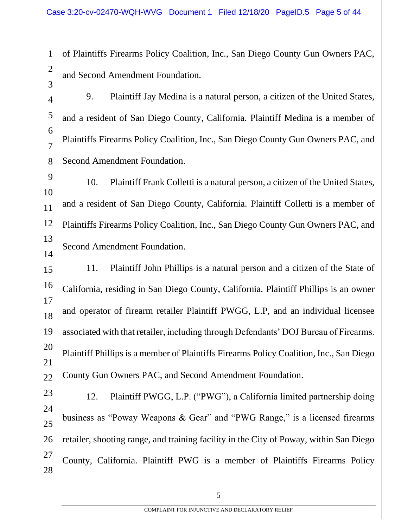1 2 of Plaintiffs Firearms Policy Coalition, Inc., San Diego County Gun Owners PAC, and Second Amendment Foundation.

3

4 5 6 7 8 9. Plaintiff Jay Medina is a natural person, a citizen of the United States, and a resident of San Diego County, California. Plaintiff Medina is a member of Plaintiffs Firearms Policy Coalition, Inc., San Diego County Gun Owners PAC, and Second Amendment Foundation.

9 10 11 12 13 14 10. Plaintiff Frank Colletti is a natural person, a citizen of the United States, and a resident of San Diego County, California. Plaintiff Colletti is a member of Plaintiffs Firearms Policy Coalition, Inc., San Diego County Gun Owners PAC, and Second Amendment Foundation.

15 16 17 18 19 20 21 22 11. Plaintiff John Phillips is a natural person and a citizen of the State of California, residing in San Diego County, California. Plaintiff Phillips is an owner and operator of firearm retailer Plaintiff PWGG, L.P, and an individual licensee associated with that retailer, including through Defendants' DOJ Bureau of Firearms. Plaintiff Phillips is a member of Plaintiffs Firearms Policy Coalition, Inc., San Diego County Gun Owners PAC, and Second Amendment Foundation.

23 24 25 26 27 28 12. Plaintiff PWGG, L.P. ("PWG"), a California limited partnership doing business as "Poway Weapons & Gear" and "PWG Range," is a licensed firearms retailer, shooting range, and training facility in the City of Poway, within San Diego County, California. Plaintiff PWG is a member of Plaintiffs Firearms Policy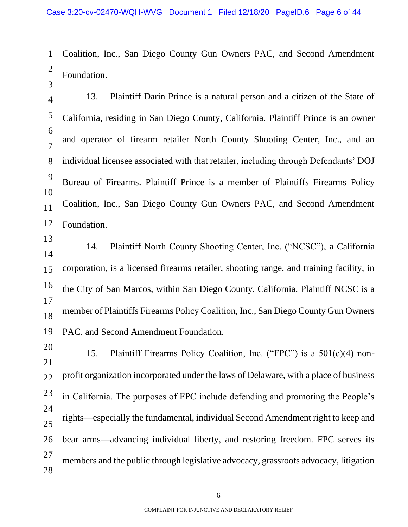1 2 Coalition, Inc., San Diego County Gun Owners PAC, and Second Amendment Foundation.

3

4 5 6 7 8 9 10 11 12 13. Plaintiff Darin Prince is a natural person and a citizen of the State of California, residing in San Diego County, California. Plaintiff Prince is an owner and operator of firearm retailer North County Shooting Center, Inc., and an individual licensee associated with that retailer, including through Defendants' DOJ Bureau of Firearms. Plaintiff Prince is a member of Plaintiffs Firearms Policy Coalition, Inc., San Diego County Gun Owners PAC, and Second Amendment Foundation.

13 14 15 16 17 18 19 14. Plaintiff North County Shooting Center, Inc. ("NCSC"), a California corporation, is a licensed firearms retailer, shooting range, and training facility, in the City of San Marcos, within San Diego County, California. Plaintiff NCSC is a member of Plaintiffs Firearms Policy Coalition, Inc., San Diego County Gun Owners PAC, and Second Amendment Foundation.

20 21 22 23 24 25 26 27 28 15. Plaintiff Firearms Policy Coalition, Inc. ("FPC") is a 501(c)(4) nonprofit organization incorporated under the laws of Delaware, with a place of business in California. The purposes of FPC include defending and promoting the People's rights—especially the fundamental, individual Second Amendment right to keep and bear arms—advancing individual liberty, and restoring freedom. FPC serves its members and the public through legislative advocacy, grassroots advocacy, litigation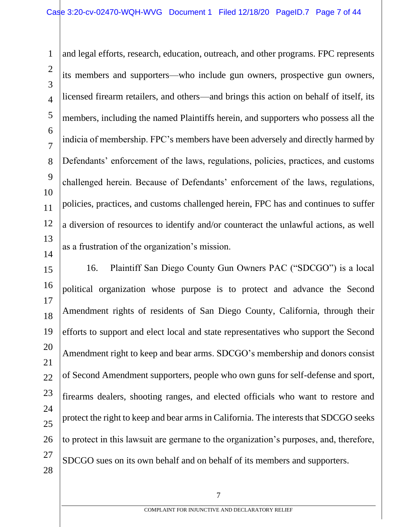1 2 3 4 5 6 7 8 9 10 11 12 13 14 and legal efforts, research, education, outreach, and other programs. FPC represents its members and supporters—who include gun owners, prospective gun owners, licensed firearm retailers, and others—and brings this action on behalf of itself, its members, including the named Plaintiffs herein, and supporters who possess all the indicia of membership. FPC's members have been adversely and directly harmed by Defendants' enforcement of the laws, regulations, policies, practices, and customs challenged herein. Because of Defendants' enforcement of the laws, regulations, policies, practices, and customs challenged herein, FPC has and continues to suffer a diversion of resources to identify and/or counteract the unlawful actions, as well as a frustration of the organization's mission.

15 16 17 18 19 20 21 22 23 24 25 26 27 28 16. Plaintiff San Diego County Gun Owners PAC ("SDCGO") is a local political organization whose purpose is to protect and advance the Second Amendment rights of residents of San Diego County, California, through their efforts to support and elect local and state representatives who support the Second Amendment right to keep and bear arms. SDCGO's membership and donors consist of Second Amendment supporters, people who own guns for self-defense and sport, firearms dealers, shooting ranges, and elected officials who want to restore and protect the right to keep and bear arms in California. The interests that SDCGO seeks to protect in this lawsuit are germane to the organization's purposes, and, therefore, SDCGO sues on its own behalf and on behalf of its members and supporters.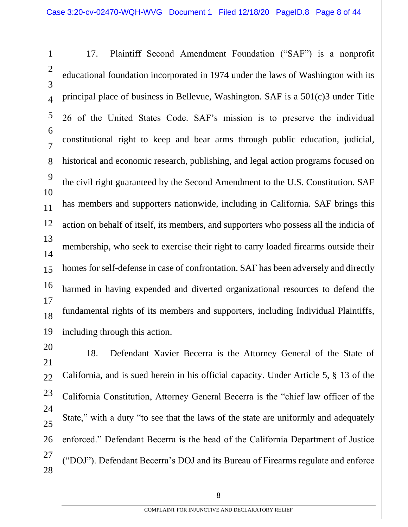1 2 3 4 5 6 7 8 9 10 11 12 13 14 15 16 17 18 19 17. Plaintiff Second Amendment Foundation ("SAF") is a nonprofit educational foundation incorporated in 1974 under the laws of Washington with its principal place of business in Bellevue, Washington. SAF is a 501(c)3 under Title 26 of the United States Code. SAF's mission is to preserve the individual constitutional right to keep and bear arms through public education, judicial, historical and economic research, publishing, and legal action programs focused on the civil right guaranteed by the Second Amendment to the U.S. Constitution. SAF has members and supporters nationwide, including in California. SAF brings this action on behalf of itself, its members, and supporters who possess all the indicia of membership, who seek to exercise their right to carry loaded firearms outside their homes for self-defense in case of confrontation. SAF has been adversely and directly harmed in having expended and diverted organizational resources to defend the fundamental rights of its members and supporters, including Individual Plaintiffs, including through this action.

27 28 18. Defendant Xavier Becerra is the Attorney General of the State of California, and is sued herein in his official capacity. Under Article 5, § 13 of the California Constitution, Attorney General Becerra is the "chief law officer of the State," with a duty "to see that the laws of the state are uniformly and adequately enforced." Defendant Becerra is the head of the California Department of Justice ("DOJ"). Defendant Becerra's DOJ and its Bureau of Firearms regulate and enforce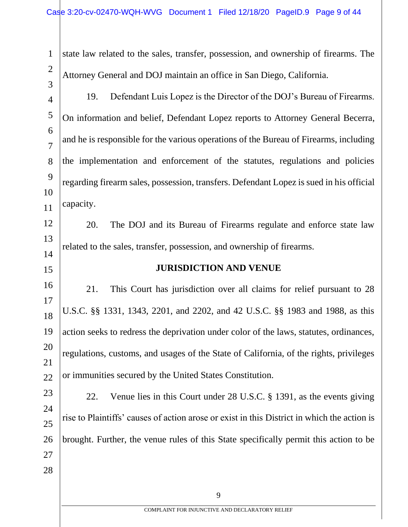|               | state law related to the sales, transfer, possession, and ownership of firearms. The  |
|---------------|---------------------------------------------------------------------------------------|
| $\mathcal{R}$ | Attorney General and DOJ maintain an office in San Diego, California.                 |
|               | Defendant Luis Lopez is the Director of the DOJ's Bureau of Firearms.<br>19.          |
|               | On information and belief, Defendant Lopez reports to Attorney General Becerra,       |
| 6             | and he is responsible for the various operations of the Bureau of Firearms, including |
| 8             | the implementation and enforcement of the statutes, regulations and policies          |
|               |                                                                                       |

9 10 11 regarding firearm sales, possession, transfers. Defendant Lopez is sued in his official capacity.

12 13 14 20. The DOJ and its Bureau of Firearms regulate and enforce state law related to the sales, transfer, possession, and ownership of firearms.

## 15

## **JURISDICTION AND VENUE**

16 17 18 19 20 21 22 21. This Court has jurisdiction over all claims for relief pursuant to 28 U.S.C. §§ 1331, 1343, 2201, and 2202, and 42 U.S.C. §§ 1983 and 1988, as this action seeks to redress the deprivation under color of the laws, statutes, ordinances, regulations, customs, and usages of the State of California, of the rights, privileges or immunities secured by the United States Constitution.

23 24 25 26 27 28 22. Venue lies in this Court under 28 U.S.C. § 1391, as the events giving rise to Plaintiffs' causes of action arose or exist in this District in which the action is brought. Further, the venue rules of this State specifically permit this action to be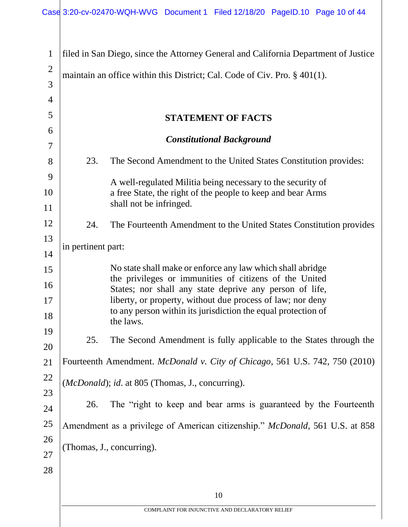| $\mathbf{1}$   |                                                                              | filed in San Diego, since the Attorney General and California Department of Justice                                                      |
|----------------|------------------------------------------------------------------------------|------------------------------------------------------------------------------------------------------------------------------------------|
| $\overline{2}$ | maintain an office within this District; Cal. Code of Civ. Pro. § 401(1).    |                                                                                                                                          |
| 3              |                                                                              |                                                                                                                                          |
| $\overline{4}$ |                                                                              |                                                                                                                                          |
| 5              |                                                                              | <b>STATEMENT OF FACTS</b>                                                                                                                |
| 6<br>7         |                                                                              | <b>Constitutional Background</b>                                                                                                         |
| 8              | 23.                                                                          | The Second Amendment to the United States Constitution provides:                                                                         |
| 9              |                                                                              | A well-regulated Militia being necessary to the security of                                                                              |
| 10             |                                                                              | a free State, the right of the people to keep and bear Arms                                                                              |
| 11             |                                                                              | shall not be infringed.                                                                                                                  |
| 12             | 24.                                                                          | The Fourteenth Amendment to the United States Constitution provides                                                                      |
| 13             | in pertinent part:                                                           |                                                                                                                                          |
| 14             |                                                                              |                                                                                                                                          |
| 15             |                                                                              | No state shall make or enforce any law which shall abridge<br>the privileges or immunities of citizens of the United                     |
| 16             |                                                                              | States; nor shall any state deprive any person of life,                                                                                  |
| 17<br>18       |                                                                              | liberty, or property, without due process of law; nor deny<br>to any person within its jurisdiction the equal protection of<br>the laws. |
| 19             | 25.                                                                          | The Second Amendment is fully applicable to the States through the                                                                       |
| 20             |                                                                              |                                                                                                                                          |
| 21             |                                                                              | Fourteenth Amendment. McDonald v. City of Chicago, 561 U.S. 742, 750 (2010)                                                              |
| 22             | (McDonald); id. at 805 (Thomas, J., concurring).                             |                                                                                                                                          |
| 23<br>24       | 26.                                                                          | The "right to keep and bear arms is guaranteed by the Fourteenth                                                                         |
| 25             | Amendment as a privilege of American citizenship." McDonald, 561 U.S. at 858 |                                                                                                                                          |
| 26             | (Thomas, J., concurring).                                                    |                                                                                                                                          |
| 27             |                                                                              |                                                                                                                                          |
| 28             |                                                                              |                                                                                                                                          |
|                |                                                                              | 10                                                                                                                                       |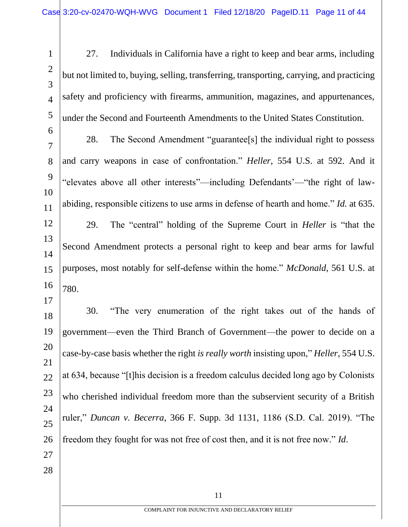1 2 3 4 5 6 7 8 9 10 11 12 13 14 15 16 17 18 19 20 21 22 23 24 25 26 27 28 27. Individuals in California have a right to keep and bear arms, including but not limited to, buying, selling, transferring, transporting, carrying, and practicing safety and proficiency with firearms, ammunition, magazines, and appurtenances, under the Second and Fourteenth Amendments to the United States Constitution. 28. The Second Amendment "guarantee[s] the individual right to possess and carry weapons in case of confrontation." *Heller*, 554 U.S. at 592. And it "elevates above all other interests"—including Defendants'—"the right of lawabiding, responsible citizens to use arms in defense of hearth and home." *Id.* at 635. 29. The "central" holding of the Supreme Court in *Heller* is "that the Second Amendment protects a personal right to keep and bear arms for lawful purposes, most notably for self-defense within the home." *McDonald*, 561 U.S. at 780. 30. "The very enumeration of the right takes out of the hands of government—even the Third Branch of Government—the power to decide on a case-by-case basis whether the right *is really worth* insisting upon," *Heller*, 554 U.S. at 634, because "[t]his decision is a freedom calculus decided long ago by Colonists who cherished individual freedom more than the subservient security of a British ruler," *Duncan v. Becerra*, 366 F. Supp. 3d 1131, 1186 (S.D. Cal. 2019). "The freedom they fought for was not free of cost then, and it is not free now." *Id*.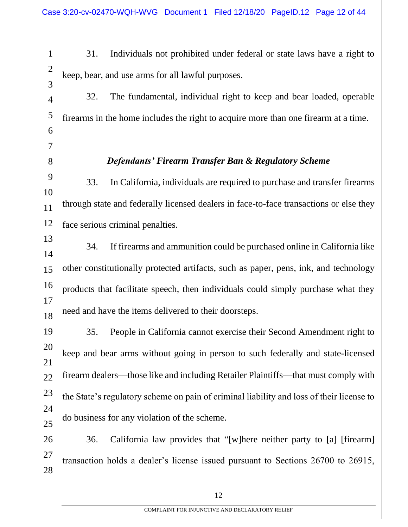5

6

7

8

31. Individuals not prohibited under federal or state laws have a right to keep, bear, and use arms for all lawful purposes.

32. The fundamental, individual right to keep and bear loaded, operable firearms in the home includes the right to acquire more than one firearm at a time.

*Defendants' Firearm Transfer Ban & Regulatory Scheme*

9 10 11 12 33. In California, individuals are required to purchase and transfer firearms through state and federally licensed dealers in face-to-face transactions or else they face serious criminal penalties.

13 14 15 16 17 18 34. If firearms and ammunition could be purchased online in California like other constitutionally protected artifacts, such as paper, pens, ink, and technology products that facilitate speech, then individuals could simply purchase what they need and have the items delivered to their doorsteps.

19 20 21 22 23 24 25 35. People in California cannot exercise their Second Amendment right to keep and bear arms without going in person to such federally and state-licensed firearm dealers—those like and including Retailer Plaintiffs—that must comply with the State's regulatory scheme on pain of criminal liability and loss of their license to do business for any violation of the scheme.

26 27 28 36. California law provides that "[w]here neither party to [a] [firearm] transaction holds a dealer's license issued pursuant to Sections 26700 to 26915,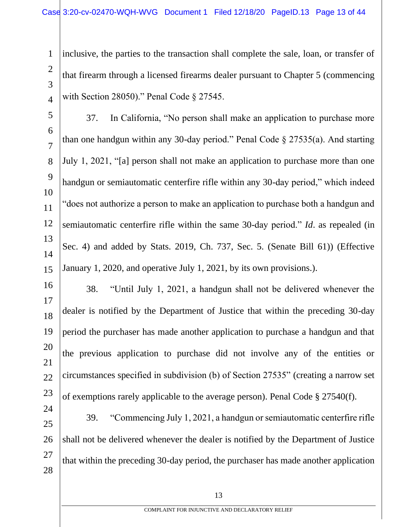1 2 3 4 inclusive, the parties to the transaction shall complete the sale, loan, or transfer of that firearm through a licensed firearms dealer pursuant to Chapter 5 (commencing with Section 28050)." Penal Code § 27545.

5 6 7 8 9 10 11 12 13 14 15 37. In California, "No person shall make an application to purchase more than one handgun within any 30-day period." Penal Code § 27535(a). And starting July 1, 2021, "[a] person shall not make an application to purchase more than one handgun or semiautomatic centerfire rifle within any 30-day period," which indeed "does not authorize a person to make an application to purchase both a handgun and semiautomatic centerfire rifle within the same 30-day period." *Id*. as repealed (in Sec. 4) and added by Stats. 2019, Ch. 737, Sec. 5. (Senate Bill 61)) (Effective January 1, 2020, and operative July 1, 2021, by its own provisions.).

16 17 18 19 20 21 22 23 38. "Until July 1, 2021, a handgun shall not be delivered whenever the dealer is notified by the Department of Justice that within the preceding 30-day period the purchaser has made another application to purchase a handgun and that the previous application to purchase did not involve any of the entities or circumstances specified in subdivision (b) of Section 27535" (creating a narrow set of exemptions rarely applicable to the average person). Penal Code § 27540(f).

24 25 26 27 28 39. "Commencing July 1, 2021, a handgun or semiautomatic centerfire rifle shall not be delivered whenever the dealer is notified by the Department of Justice that within the preceding 30-day period, the purchaser has made another application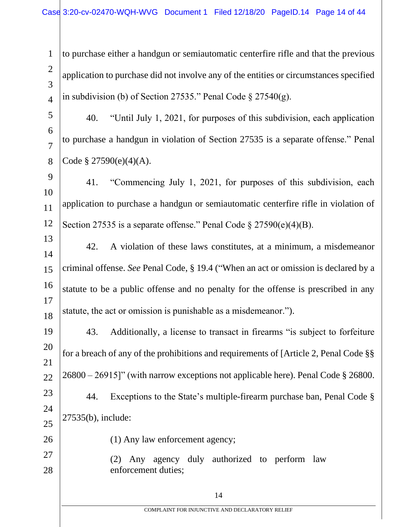1  $\mathcal{D}_{\mathcal{L}}$ 3 4 to purchase either a handgun or semiautomatic centerfire rifle and that the previous application to purchase did not involve any of the entities or circumstances specified in subdivision (b) of Section 27535." Penal Code  $\S 27540(g)$ .

5 6 7 8 40. "Until July 1, 2021, for purposes of this subdivision, each application to purchase a handgun in violation of Section 27535 is a separate offense." Penal Code  $§$  27590(e)(4)(A).

9 10 11 12 41. "Commencing July 1, 2021, for purposes of this subdivision, each application to purchase a handgun or semiautomatic centerfire rifle in violation of Section 27535 is a separate offense." Penal Code § 27590(e)(4)(B).

13 14 15 16 17 18 42. A violation of these laws constitutes, at a minimum, a misdemeanor criminal offense. *See* Penal Code, § 19.4 ("When an act or omission is declared by a statute to be a public offense and no penalty for the offense is prescribed in any statute, the act or omission is punishable as a misdemeanor.").

19 20 21 22 23 24 25 43. Additionally, a license to transact in firearms "is subject to forfeiture for a breach of any of the prohibitions and requirements of [Article 2, Penal Code §§ 26800 – 26915]" (with narrow exceptions not applicable here). Penal Code § 26800. 44. Exceptions to the State's multiple-firearm purchase ban, Penal Code § 27535(b), include:

26

27

28

(1) Any law enforcement agency;

(2) Any agency duly authorized to perform law enforcement duties;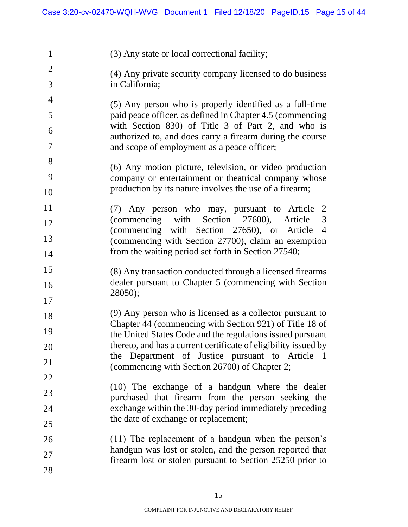1  $\mathfrak{D}$ 3 4 5 6 7 8 9 10 11 12 13 14 15 16 17 18 19 20 21 22 23 24 25 26 27 28 (3) Any state or local correctional facility; (4) Any private security company licensed to do business in California; (5) Any person who is properly identified as a full-time paid peace officer, as defined in Chapter 4.5 (commencing with Section 830) of Title 3 of Part 2, and who is authorized to, and does carry a firearm during the course and scope of employment as a peace officer; (6) Any motion picture, television, or video production company or entertainment or theatrical company whose production by its nature involves the use of a firearm; (7) Any person who may, pursuant to Article 2 (commencing with Section 27600), Article 3 (commencing with Section 27650), or Article 4 (commencing with Section 27700), claim an exemption from the waiting period set forth in Section 27540; (8) Any transaction conducted through a licensed firearms dealer pursuant to Chapter 5 (commencing with Section 28050); (9) Any person who is licensed as a collector pursuant to Chapter 44 (commencing with Section 921) of Title 18 of the United States Code and the regulations issued pursuant thereto, and has a current certificate of eligibility issued by the Department of Justice pursuant to Article 1 (commencing with Section 26700) of Chapter 2; (10) The exchange of a handgun where the dealer purchased that firearm from the person seeking the exchange within the 30-day period immediately preceding the date of exchange or replacement; (11) The replacement of a handgun when the person's handgun was lost or stolen, and the person reported that firearm lost or stolen pursuant to Section 25250 prior to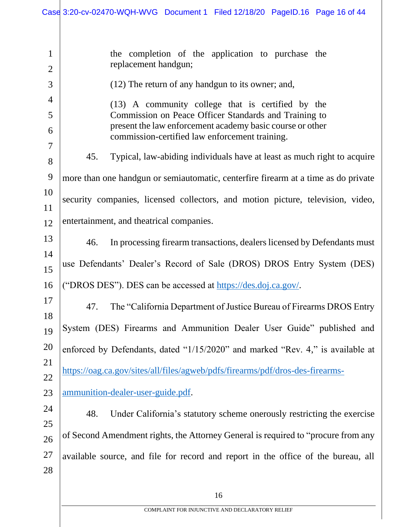| $\mathbf{1}$   | the completion of the application to purchase the                                                           |  |
|----------------|-------------------------------------------------------------------------------------------------------------|--|
| $\overline{2}$ | replacement handgun;                                                                                        |  |
| 3              | (12) The return of any handgun to its owner; and,                                                           |  |
| 4              | (13) A community college that is certified by the                                                           |  |
| 5              | Commission on Peace Officer Standards and Training to                                                       |  |
| 6              | present the law enforcement academy basic course or other<br>commission-certified law enforcement training. |  |
| 7              | Typical, law-abiding individuals have at least as much right to acquire<br>45.                              |  |
| 8              |                                                                                                             |  |
| 9              | more than one handgun or semiautomatic, centerfire firearm at a time as do private                          |  |
| 10             | security companies, licensed collectors, and motion picture, television, video,                             |  |
| 11             |                                                                                                             |  |
| 12             | entertainment, and theatrical companies.                                                                    |  |
| 13             | In processing firearm transactions, dealers licensed by Defendants must<br>46.                              |  |
| 14             | use Defendants' Dealer's Record of Sale (DROS) DROS Entry System (DES)                                      |  |
| 15             |                                                                                                             |  |
| 16             | ("DROS DES"). DES can be accessed at https://des.doj.ca.gov/.                                               |  |
| 17<br>18       | The "California Department of Justice Bureau of Firearms DROS Entry<br>47.                                  |  |
| 19             | System (DES) Firearms and Ammunition Dealer User Guide" published and                                       |  |
| 20             | enforced by Defendants, dated "1/15/2020" and marked "Rev. 4," is available at                              |  |
| 21             |                                                                                                             |  |
| 22             | https://oag.ca.gov/sites/all/files/agweb/pdfs/firearms/pdf/dros-des-firearms-                               |  |
| 23             | ammunition-dealer-user-guide.pdf.                                                                           |  |
| 24             | Under California's statutory scheme onerously restricting the exercise<br>48.                               |  |
| 25             |                                                                                                             |  |
| 26             | of Second Amendment rights, the Attorney General is required to "procure from any                           |  |
| 27             | available source, and file for record and report in the office of the bureau, all                           |  |
| 28             |                                                                                                             |  |
|                |                                                                                                             |  |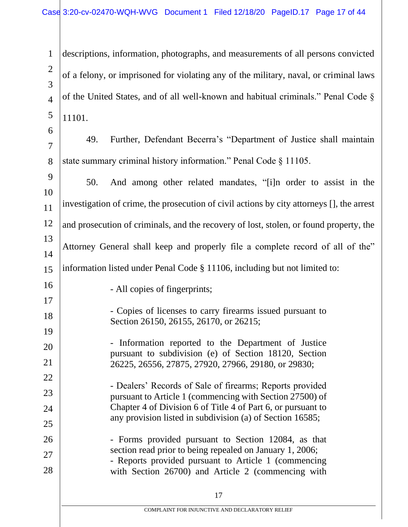1 2 3 4 5 descriptions, information, photographs, and measurements of all persons convicted of a felony, or imprisoned for violating any of the military, naval, or criminal laws of the United States, and of all well-known and habitual criminals." Penal Code § 11101.

6 7

8

49. Further, Defendant Becerra's "Department of Justice shall maintain state summary criminal history information." Penal Code § 11105.

9 10 11 12 13 14 15 16 17 18 19 20 21 22 23 24 25 26 27 28 50. And among other related mandates, "[i]n order to assist in the investigation of crime, the prosecution of civil actions by city attorneys [], the arrest and prosecution of criminals, and the recovery of lost, stolen, or found property, the Attorney General shall keep and properly file a complete record of all of the" information listed under Penal Code § 11106, including but not limited to: - All copies of fingerprints; - Copies of licenses to carry firearms issued pursuant to Section 26150, 26155, 26170, or 26215; - Information reported to the Department of Justice pursuant to subdivision (e) of Section 18120, Section 26225, 26556, 27875, 27920, 27966, 29180, or 29830; - Dealers' Records of Sale of firearms; Reports provided pursuant to Article 1 (commencing with Section 27500) of Chapter 4 of Division 6 of Title 4 of Part 6, or pursuant to any provision listed in subdivision (a) of Section 16585; - Forms provided pursuant to Section 12084, as that section read prior to being repealed on January 1, 2006; - Reports provided pursuant to Article 1 (commencing with Section 26700) and Article 2 (commencing with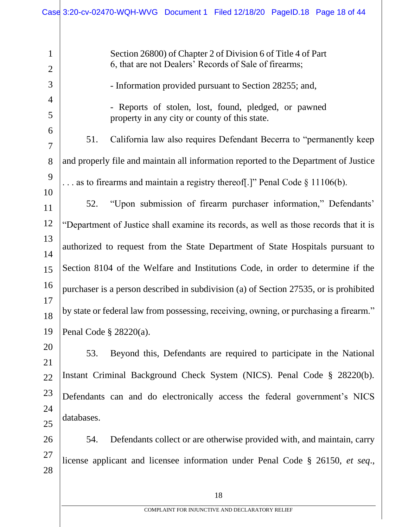| $\mathbf{1}$<br>$\overline{2}$ |                                                                                       | Section 26800) of Chapter 2 of Division 6 of Title 4 of Part<br>6, that are not Dealers' Records of Sale of firearms; |
|--------------------------------|---------------------------------------------------------------------------------------|-----------------------------------------------------------------------------------------------------------------------|
| 3                              |                                                                                       | - Information provided pursuant to Section 28255; and,                                                                |
| 4                              |                                                                                       |                                                                                                                       |
| 5                              |                                                                                       | - Reports of stolen, lost, found, pledged, or pawned<br>property in any city or county of this state.                 |
| 6<br>$\overline{7}$            | 51.                                                                                   | California law also requires Defendant Becerra to "permanently keep                                                   |
| 8                              |                                                                                       | and properly file and maintain all information reported to the Department of Justice                                  |
| 9<br>10                        |                                                                                       | as to firearms and maintain a registry thereof.]" Penal Code $\S$ 11106(b).                                           |
| 11                             | 52.                                                                                   | "Upon submission of firearm purchaser information," Defendants'                                                       |
| 12                             |                                                                                       | "Department of Justice shall examine its records, as well as those records that it is                                 |
| 13<br>14                       |                                                                                       | authorized to request from the State Department of State Hospitals pursuant to                                        |
| 15                             | Section 8104 of the Welfare and Institutions Code, in order to determine if the       |                                                                                                                       |
| 16                             | purchaser is a person described in subdivision (a) of Section 27535, or is prohibited |                                                                                                                       |
| 17<br>18                       | by state or federal law from possessing, receiving, owning, or purchasing a firearm." |                                                                                                                       |
| 19                             | Penal Code $\S$ 28220(a).                                                             |                                                                                                                       |
| 20<br>21                       | 53.                                                                                   | Beyond this, Defendants are required to participate in the National                                                   |
| $22\,$                         |                                                                                       | Instant Criminal Background Check System (NICS). Penal Code § 28220(b).                                               |
| 23                             |                                                                                       | Defendants can and do electronically access the federal government's NICS                                             |
| 24<br>25                       | databases.                                                                            |                                                                                                                       |
| 26                             | 54.                                                                                   | Defendants collect or are otherwise provided with, and maintain, carry                                                |
| 27<br>28                       |                                                                                       | license applicant and licensee information under Penal Code § 26150, et seq.,                                         |
|                                |                                                                                       |                                                                                                                       |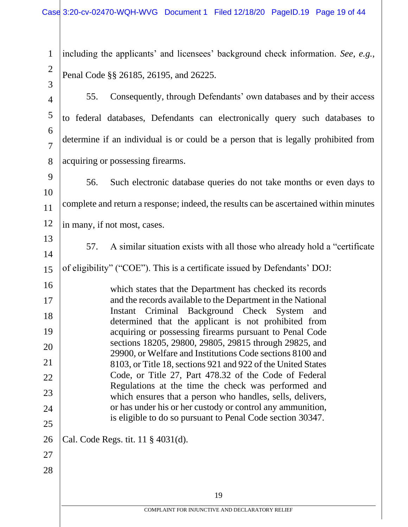| $\mathbf{1}$        | including the applicants' and licensees' background check information. See, e.g.,                                         |
|---------------------|---------------------------------------------------------------------------------------------------------------------------|
| $\overline{2}$<br>3 | Penal Code §§ 26185, 26195, and 26225.                                                                                    |
| $\overline{4}$      | 55.<br>Consequently, through Defendants' own databases and by their access                                                |
| $\mathfrak{S}$      | to federal databases, Defendants can electronically query such databases to                                               |
| 6<br>$\overline{7}$ | determine if an individual is or could be a person that is legally prohibited from                                        |
| 8                   | acquiring or possessing firearms.                                                                                         |
| 9<br>10             | 56.<br>Such electronic database queries do not take months or even days to                                                |
| 11                  | complete and return a response; indeed, the results can be ascertained within minutes                                     |
| 12                  | in many, if not most, cases.                                                                                              |
| 13                  | A similar situation exists with all those who already hold a "certificate"<br>57.                                         |
| 14                  | of eligibility" ("COE"). This is a certificate issued by Defendants' DOJ:                                                 |
| 15                  |                                                                                                                           |
| 16<br>17            | which states that the Department has checked its records<br>and the records available to the Department in the National   |
| 18                  | Instant Criminal Background Check System and                                                                              |
| 19                  | determined that the applicant is not prohibited from<br>acquiring or possessing firearms pursuant to Penal Code           |
| 20                  | sections 18205, 29800, 29805, 29815 through 29825, and                                                                    |
| 21                  | 29900, or Welfare and Institutions Code sections 8100 and<br>8103, or Title 18, sections 921 and 922 of the United States |
| 22                  | Code, or Title 27, Part 478.32 of the Code of Federal                                                                     |
| 23                  | Regulations at the time the check was performed and<br>which ensures that a person who handles, sells, delivers,          |
| 24                  | or has under his or her custody or control any ammunition,<br>is eligible to do so pursuant to Penal Code section 30347.  |
| 25                  |                                                                                                                           |
| 26                  | Cal. Code Regs. tit. 11 § 4031(d).                                                                                        |
| 27                  |                                                                                                                           |
| 28                  |                                                                                                                           |
|                     | 19                                                                                                                        |
|                     | COMPLAINT FOR INJUNCTIVE AND DECLARATORY RELIEF                                                                           |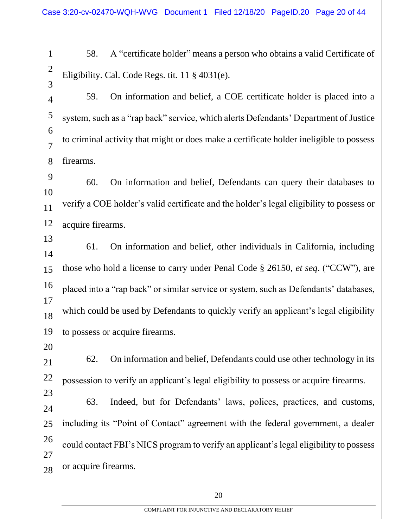1 2

3

58. A "certificate holder" means a person who obtains a valid Certificate of Eligibility. Cal. Code Regs. tit. 11 § 4031(e).

4 5 6 7 8 59. On information and belief, a COE certificate holder is placed into a system, such as a "rap back" service, which alerts Defendants' Department of Justice to criminal activity that might or does make a certificate holder ineligible to possess firearms.

9 10 11 12 60. On information and belief, Defendants can query their databases to verify a COE holder's valid certificate and the holder's legal eligibility to possess or acquire firearms.

13 14 15 16 17 18 19 61. On information and belief, other individuals in California, including those who hold a license to carry under Penal Code § 26150, *et seq*. ("CCW"), are placed into a "rap back" or similar service or system, such as Defendants' databases, which could be used by Defendants to quickly verify an applicant's legal eligibility to possess or acquire firearms.

20

21 22

62. On information and belief, Defendants could use other technology in its possession to verify an applicant's legal eligibility to possess or acquire firearms.

23 24 25 26 27 28 63. Indeed, but for Defendants' laws, polices, practices, and customs, including its "Point of Contact" agreement with the federal government, a dealer could contact FBI's NICS program to verify an applicant's legal eligibility to possess or acquire firearms.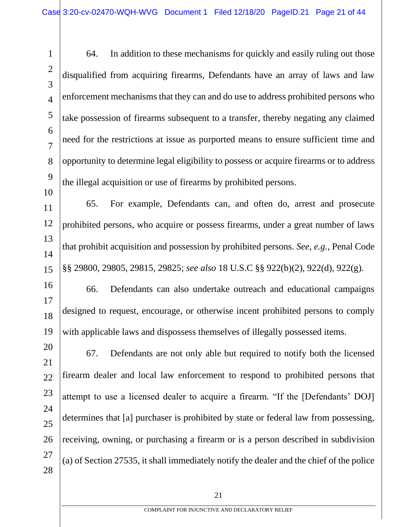1 2 3 4 5 6 7 8 9 64. In addition to these mechanisms for quickly and easily ruling out those disqualified from acquiring firearms, Defendants have an array of laws and law enforcement mechanisms that they can and do use to address prohibited persons who take possession of firearms subsequent to a transfer, thereby negating any claimed need for the restrictions at issue as purported means to ensure sufficient time and opportunity to determine legal eligibility to possess or acquire firearms or to address the illegal acquisition or use of firearms by prohibited persons.

11 12 13 14 15 65. For example, Defendants can, and often do, arrest and prosecute prohibited persons, who acquire or possess firearms, under a great number of laws that prohibit acquisition and possession by prohibited persons. *See*, *e.g.*, Penal Code §§ 29800, 29805, 29815, 29825; *see also* 18 U.S.C §§ 922(b)(2), 922(d), 922(g).

10

16 17 18 19 66. Defendants can also undertake outreach and educational campaigns designed to request, encourage, or otherwise incent prohibited persons to comply with applicable laws and dispossess themselves of illegally possessed items.

20 21 22 23 24 25 26 27 28 67. Defendants are not only able but required to notify both the licensed firearm dealer and local law enforcement to respond to prohibited persons that attempt to use a licensed dealer to acquire a firearm. "If the [Defendants' DOJ] determines that [a] purchaser is prohibited by state or federal law from possessing, receiving, owning, or purchasing a firearm or is a person described in subdivision (a) of Section 27535, it shall immediately notify the dealer and the chief of the police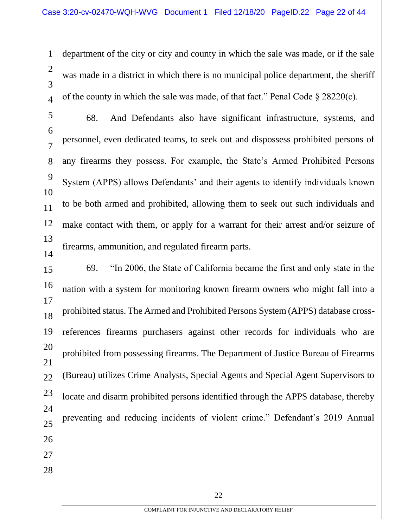1 2 3 4 department of the city or city and county in which the sale was made, or if the sale was made in a district in which there is no municipal police department, the sheriff of the county in which the sale was made, of that fact." Penal Code  $\S 28220(c)$ .

5 6 7 8 9 10 11 12 13 14 68. And Defendants also have significant infrastructure, systems, and personnel, even dedicated teams, to seek out and dispossess prohibited persons of any firearms they possess. For example, the State's Armed Prohibited Persons System (APPS) allows Defendants' and their agents to identify individuals known to be both armed and prohibited, allowing them to seek out such individuals and make contact with them, or apply for a warrant for their arrest and/or seizure of firearms, ammunition, and regulated firearm parts.

15 16 17 18 19 20 21 22 23 24 25 26 27 28 69. "In 2006, the State of California became the first and only state in the nation with a system for monitoring known firearm owners who might fall into a prohibited status. The Armed and Prohibited Persons System (APPS) database crossreferences firearms purchasers against other records for individuals who are prohibited from possessing firearms. The Department of Justice Bureau of Firearms (Bureau) utilizes Crime Analysts, Special Agents and Special Agent Supervisors to locate and disarm prohibited persons identified through the APPS database, thereby preventing and reducing incidents of violent crime." Defendant's 2019 Annual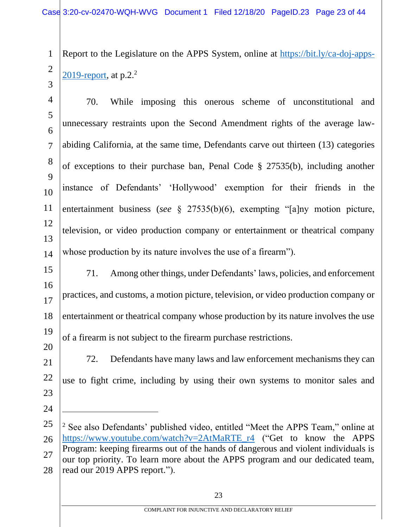1 2 Report to the Legislature on the APPS System, online at https://bit.ly/ca-doj-apps-2019-report, at  $p.2<sup>2</sup>$ 

3

4 5 6 7 8 9 10 11 12 13 14 70. While imposing this onerous scheme of unconstitutional and unnecessary restraints upon the Second Amendment rights of the average lawabiding California, at the same time, Defendants carve out thirteen (13) categories of exceptions to their purchase ban, Penal Code § 27535(b), including another instance of Defendants' 'Hollywood' exemption for their friends in the entertainment business (*see* § 27535(b)(6), exempting "[a]ny motion picture, television, or video production company or entertainment or theatrical company whose production by its nature involves the use of a firearm").

- 15 16 17 18 19 20 71. Among other things, under Defendants' laws, policies, and enforcement practices, and customs, a motion picture, television, or video production company or entertainment or theatrical company whose production by its nature involves the use of a firearm is not subject to the firearm purchase restrictions.
- 21 22 23 72. Defendants have many laws and law enforcement mechanisms they can use to fight crime, including by using their own systems to monitor sales and
- 24

<sup>25</sup> 26 27 28 <sup>2</sup> See also Defendants' published video, entitled "Meet the APPS Team," online at https://www.youtube.com/watch?v=2AtMaRTE\_r4 ("Get to know the APPS Program: keeping firearms out of the hands of dangerous and violent individuals is our top priority. To learn more about the APPS program and our dedicated team, read our 2019 APPS report.").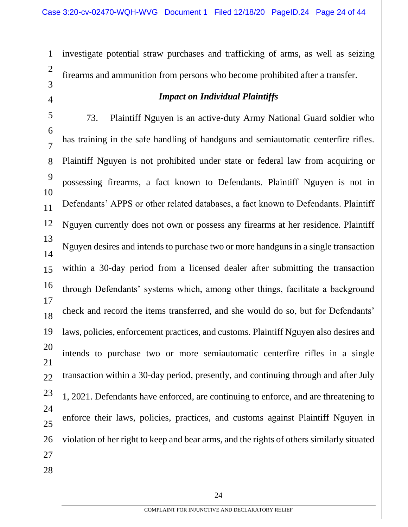1 2 investigate potential straw purchases and trafficking of arms, as well as seizing firearms and ammunition from persons who become prohibited after a transfer.

3 4

## *Impact on Individual Plaintiffs*

5 6 7 8 9 10 11 12 13 14 15 16 17 18 19 20 21 22 23 24 25 26 27 73. Plaintiff Nguyen is an active-duty Army National Guard soldier who has training in the safe handling of handguns and semiautomatic centerfire rifles. Plaintiff Nguyen is not prohibited under state or federal law from acquiring or possessing firearms, a fact known to Defendants. Plaintiff Nguyen is not in Defendants' APPS or other related databases, a fact known to Defendants. Plaintiff Nguyen currently does not own or possess any firearms at her residence. Plaintiff Nguyen desires and intends to purchase two or more handguns in a single transaction within a 30-day period from a licensed dealer after submitting the transaction through Defendants' systems which, among other things, facilitate a background check and record the items transferred, and she would do so, but for Defendants' laws, policies, enforcement practices, and customs. Plaintiff Nguyen also desires and intends to purchase two or more semiautomatic centerfire rifles in a single transaction within a 30-day period, presently, and continuing through and after July 1, 2021. Defendants have enforced, are continuing to enforce, and are threatening to enforce their laws, policies, practices, and customs against Plaintiff Nguyen in violation of her right to keep and bear arms, and the rights of others similarly situated

28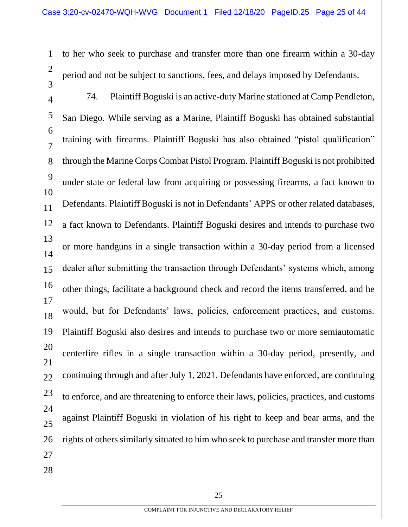- 1 2 3 to her who seek to purchase and transfer more than one firearm within a 30-day period and not be subject to sanctions, fees, and delays imposed by Defendants.
- 4 5 6 7 8 9 10 11 12 13 14 15 16 17 18 19 20 21 22 23 24 25 26 27 74. Plaintiff Boguski is an active-duty Marine stationed at Camp Pendleton, San Diego. While serving as a Marine, Plaintiff Boguski has obtained substantial training with firearms. Plaintiff Boguski has also obtained "pistol qualification" through the Marine Corps Combat Pistol Program. Plaintiff Boguski is not prohibited under state or federal law from acquiring or possessing firearms, a fact known to Defendants. Plaintiff Boguski is not in Defendants' APPS or other related databases, a fact known to Defendants. Plaintiff Boguski desires and intends to purchase two or more handguns in a single transaction within a 30-day period from a licensed dealer after submitting the transaction through Defendants' systems which, among other things, facilitate a background check and record the items transferred, and he would, but for Defendants' laws, policies, enforcement practices, and customs. Plaintiff Boguski also desires and intends to purchase two or more semiautomatic centerfire rifles in a single transaction within a 30-day period, presently, and continuing through and after July 1, 2021. Defendants have enforced, are continuing to enforce, and are threatening to enforce their laws, policies, practices, and customs against Plaintiff Boguski in violation of his right to keep and bear arms, and the rights of others similarly situated to him who seek to purchase and transfer more than
- 28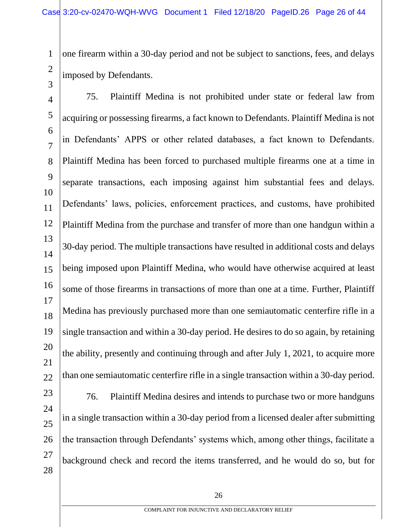1 2 one firearm within a 30-day period and not be subject to sanctions, fees, and delays imposed by Defendants.

3

4 5 6 7 8 9 10 11 12 13 14 15 16 17 18 19 20 21 22 23 24 25 26 27 75. Plaintiff Medina is not prohibited under state or federal law from acquiring or possessing firearms, a fact known to Defendants. Plaintiff Medina is not in Defendants' APPS or other related databases, a fact known to Defendants. Plaintiff Medina has been forced to purchased multiple firearms one at a time in separate transactions, each imposing against him substantial fees and delays. Defendants' laws, policies, enforcement practices, and customs, have prohibited Plaintiff Medina from the purchase and transfer of more than one handgun within a 30-day period. The multiple transactions have resulted in additional costs and delays being imposed upon Plaintiff Medina, who would have otherwise acquired at least some of those firearms in transactions of more than one at a time. Further, Plaintiff Medina has previously purchased more than one semiautomatic centerfire rifle in a single transaction and within a 30-day period. He desires to do so again, by retaining the ability, presently and continuing through and after July 1, 2021, to acquire more than one semiautomatic centerfire rifle in a single transaction within a 30-day period. 76. Plaintiff Medina desires and intends to purchase two or more handguns in a single transaction within a 30-day period from a licensed dealer after submitting the transaction through Defendants' systems which, among other things, facilitate a

28

background check and record the items transferred, and he would do so, but for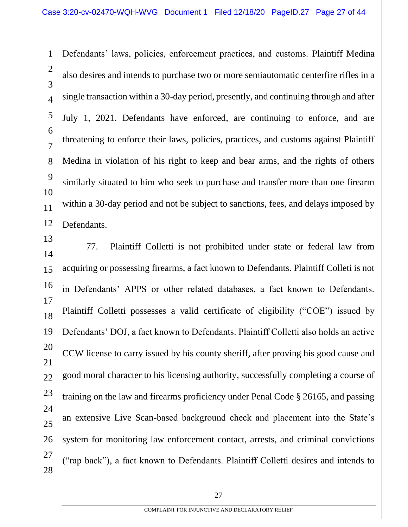1 2 3 4 5 6 7 8 9 10 11 12 Defendants' laws, policies, enforcement practices, and customs. Plaintiff Medina also desires and intends to purchase two or more semiautomatic centerfire rifles in a single transaction within a 30-day period, presently, and continuing through and after July 1, 2021. Defendants have enforced, are continuing to enforce, and are threatening to enforce their laws, policies, practices, and customs against Plaintiff Medina in violation of his right to keep and bear arms, and the rights of others similarly situated to him who seek to purchase and transfer more than one firearm within a 30-day period and not be subject to sanctions, fees, and delays imposed by Defendants.

14 15 16 17 18 19 20 21 22 23 24 25 26 27 28 77. Plaintiff Colletti is not prohibited under state or federal law from acquiring or possessing firearms, a fact known to Defendants. Plaintiff Colleti is not in Defendants' APPS or other related databases, a fact known to Defendants. Plaintiff Colletti possesses a valid certificate of eligibility ("COE") issued by Defendants' DOJ, a fact known to Defendants. Plaintiff Colletti also holds an active CCW license to carry issued by his county sheriff, after proving his good cause and good moral character to his licensing authority, successfully completing a course of training on the law and firearms proficiency under Penal Code § 26165, and passing an extensive Live Scan-based background check and placement into the State's system for monitoring law enforcement contact, arrests, and criminal convictions ("rap back"), a fact known to Defendants. Plaintiff Colletti desires and intends to

13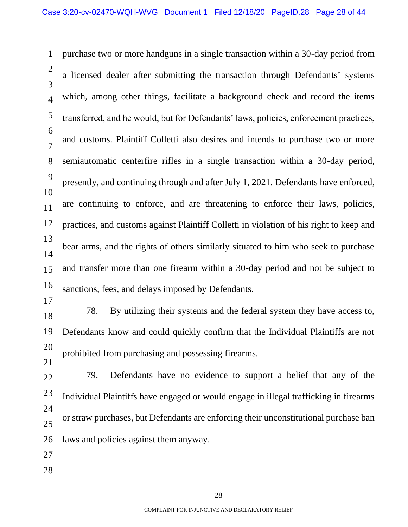1 2 3 4 5 6 7 8 9 10 11 12 13 14 15 16 17 purchase two or more handguns in a single transaction within a 30-day period from a licensed dealer after submitting the transaction through Defendants' systems which, among other things, facilitate a background check and record the items transferred, and he would, but for Defendants' laws, policies, enforcement practices, and customs. Plaintiff Colletti also desires and intends to purchase two or more semiautomatic centerfire rifles in a single transaction within a 30-day period, presently, and continuing through and after July 1, 2021. Defendants have enforced, are continuing to enforce, and are threatening to enforce their laws, policies, practices, and customs against Plaintiff Colletti in violation of his right to keep and bear arms, and the rights of others similarly situated to him who seek to purchase and transfer more than one firearm within a 30-day period and not be subject to sanctions, fees, and delays imposed by Defendants.

18 19 20 21 78. By utilizing their systems and the federal system they have access to, Defendants know and could quickly confirm that the Individual Plaintiffs are not prohibited from purchasing and possessing firearms.

- 22 23 24 25 26 79. Defendants have no evidence to support a belief that any of the Individual Plaintiffs have engaged or would engage in illegal trafficking in firearms or straw purchases, but Defendants are enforcing their unconstitutional purchase ban laws and policies against them anyway.
- 27
- 28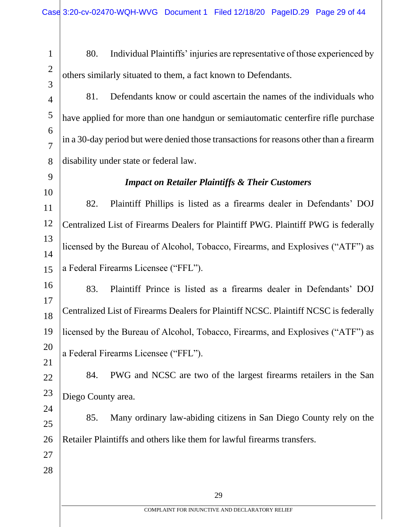2

3

1

80. Individual Plaintiffs' injuries are representative of those experienced by others similarly situated to them, a fact known to Defendants.

- 4 5 6 7 8 81. Defendants know or could ascertain the names of the individuals who have applied for more than one handgun or semiautomatic centerfire rifle purchase in a 30-day period but were denied those transactions for reasons other than a firearm disability under state or federal law.
- 9 10 11 12 13 14 15 16 *Impact on Retailer Plaintiffs & Their Customers* 82. Plaintiff Phillips is listed as a firearms dealer in Defendants' DOJ Centralized List of Firearms Dealers for Plaintiff PWG. Plaintiff PWG is federally licensed by the Bureau of Alcohol, Tobacco, Firearms, and Explosives ("ATF") as a Federal Firearms Licensee ("FFL").
- 17 18 19 20 21 83. Plaintiff Prince is listed as a firearms dealer in Defendants' DOJ Centralized List of Firearms Dealers for Plaintiff NCSC. Plaintiff NCSC is federally licensed by the Bureau of Alcohol, Tobacco, Firearms, and Explosives ("ATF") as a Federal Firearms Licensee ("FFL").
- 22 23 84. PWG and NCSC are two of the largest firearms retailers in the San Diego County area.
- 25 26 85. Many ordinary law-abiding citizens in San Diego County rely on the Retailer Plaintiffs and others like them for lawful firearms transfers.
- 27 28

24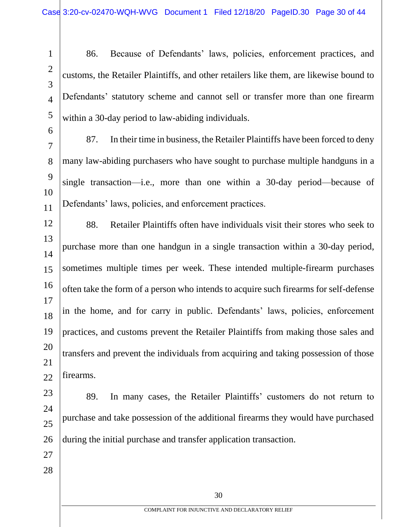$\mathcal{D}_{\mathcal{L}}$ 

3

4

5

1

86. Because of Defendants' laws, policies, enforcement practices, and customs, the Retailer Plaintiffs, and other retailers like them, are likewise bound to Defendants' statutory scheme and cannot sell or transfer more than one firearm within a 30-day period to law-abiding individuals.

6 7

8

9

10

11

87. In their time in business, the Retailer Plaintiffs have been forced to deny many law-abiding purchasers who have sought to purchase multiple handguns in a single transaction—i.e., more than one within a 30-day period—because of Defendants' laws, policies, and enforcement practices.

12 13 14 15 16 17 18 19 20 21 22 88. Retailer Plaintiffs often have individuals visit their stores who seek to purchase more than one handgun in a single transaction within a 30-day period, sometimes multiple times per week. These intended multiple-firearm purchases often take the form of a person who intends to acquire such firearms for self-defense in the home, and for carry in public. Defendants' laws, policies, enforcement practices, and customs prevent the Retailer Plaintiffs from making those sales and transfers and prevent the individuals from acquiring and taking possession of those firearms.

23 24 25 26 89. In many cases, the Retailer Plaintiffs' customers do not return to purchase and take possession of the additional firearms they would have purchased during the initial purchase and transfer application transaction.

- 27
- 28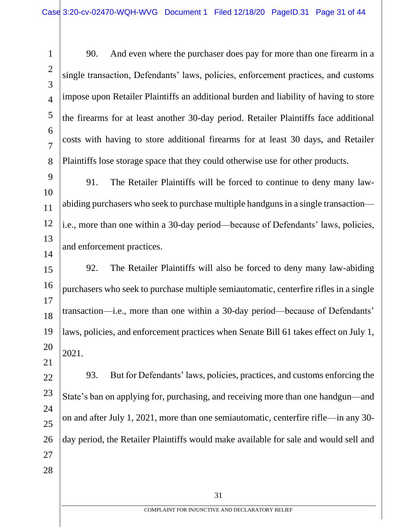1 2 3 4 5 6 7 8 90. And even where the purchaser does pay for more than one firearm in a single transaction, Defendants' laws, policies, enforcement practices, and customs impose upon Retailer Plaintiffs an additional burden and liability of having to store the firearms for at least another 30-day period. Retailer Plaintiffs face additional costs with having to store additional firearms for at least 30 days, and Retailer Plaintiffs lose storage space that they could otherwise use for other products.

9 10 11 12 13 14 91. The Retailer Plaintiffs will be forced to continue to deny many lawabiding purchasers who seek to purchase multiple handguns in a single transaction i.e., more than one within a 30-day period—because of Defendants' laws, policies, and enforcement practices.

15 16 17 18 19 20 21 92. The Retailer Plaintiffs will also be forced to deny many law-abiding purchasers who seek to purchase multiple semiautomatic, centerfire rifles in a single transaction—i.e., more than one within a 30-day period—because of Defendants' laws, policies, and enforcement practices when Senate Bill 61 takes effect on July 1, 2021.

22 23 24 25 26 27 28 93. But for Defendants' laws, policies, practices, and customs enforcing the State's ban on applying for, purchasing, and receiving more than one handgun—and on and after July 1, 2021, more than one semiautomatic, centerfire rifle—in any 30 day period, the Retailer Plaintiffs would make available for sale and would sell and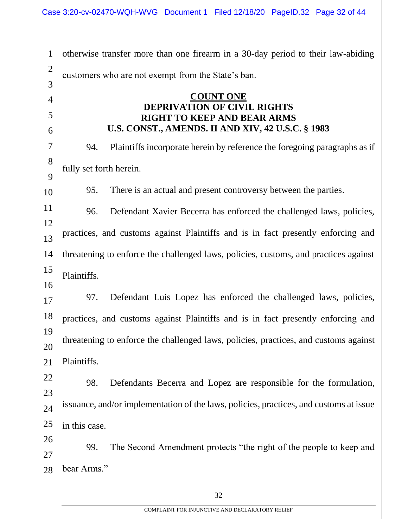| $\mathbf{1}$   |                                                                                      | otherwise transfer more than one firearm in a 30-day period to their law-abiding       |  |
|----------------|--------------------------------------------------------------------------------------|----------------------------------------------------------------------------------------|--|
| $\overline{2}$ |                                                                                      | customers who are not exempt from the State's ban.                                     |  |
| 3              |                                                                                      |                                                                                        |  |
| $\overline{4}$ |                                                                                      | <b>COUNT ONE</b><br>DEPRIVATION OF CIVIL RIGHTS                                        |  |
| 5              | <b>RIGHT TO KEEP AND BEAR ARMS</b>                                                   |                                                                                        |  |
| 6              |                                                                                      | U.S. CONST., AMENDS. II AND XIV, 42 U.S.C. § 1983                                      |  |
| 7              | 94.                                                                                  | Plaintiffs incorporate herein by reference the foregoing paragraphs as if              |  |
| 8<br>9         | fully set forth herein.                                                              |                                                                                        |  |
| 10             | 95.                                                                                  | There is an actual and present controversy between the parties.                        |  |
| 11             | 96.                                                                                  | Defendant Xavier Becerra has enforced the challenged laws, policies,                   |  |
| 12<br>13       |                                                                                      | practices, and customs against Plaintiffs and is in fact presently enforcing and       |  |
| 14             | threatening to enforce the challenged laws, policies, customs, and practices against |                                                                                        |  |
| 15             | Plaintiffs.                                                                          |                                                                                        |  |
| 16             |                                                                                      |                                                                                        |  |
| 17             | 97.                                                                                  | Defendant Luis Lopez has enforced the challenged laws, policies,                       |  |
| 18             |                                                                                      | practices, and customs against Plaintiffs and is in fact presently enforcing and       |  |
| 19<br>20       | threatening to enforce the challenged laws, policies, practices, and customs against |                                                                                        |  |
| 21             | Plaintiffs.                                                                          |                                                                                        |  |
| 22             |                                                                                      |                                                                                        |  |
| 23             | 98.                                                                                  | Defendants Becerra and Lopez are responsible for the formulation,                      |  |
| 24             |                                                                                      | issuance, and/or implementation of the laws, policies, practices, and customs at issue |  |
| 25             | in this case.                                                                        |                                                                                        |  |
| 26             |                                                                                      |                                                                                        |  |
| 27             | 99.                                                                                  | The Second Amendment protects "the right of the people to keep and                     |  |
| 28             | bear Arms."                                                                          |                                                                                        |  |
|                |                                                                                      | 32                                                                                     |  |
|                |                                                                                      | COMPLAINT FOR INJUNCTIVE AND DECLARATORY RELIEF                                        |  |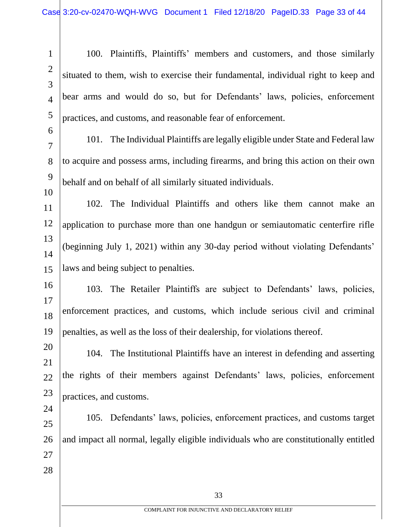2 3

4

5

6

1

100. Plaintiffs, Plaintiffs' members and customers, and those similarly situated to them, wish to exercise their fundamental, individual right to keep and bear arms and would do so, but for Defendants' laws, policies, enforcement practices, and customs, and reasonable fear of enforcement.

7 8

9 10

24

101. The Individual Plaintiffs are legally eligible under State and Federal law to acquire and possess arms, including firearms, and bring this action on their own behalf and on behalf of all similarly situated individuals.

11 12 13 14 15 102. The Individual Plaintiffs and others like them cannot make an application to purchase more than one handgun or semiautomatic centerfire rifle (beginning July 1, 2021) within any 30-day period without violating Defendants' laws and being subject to penalties.

16 17 18 19 103. The Retailer Plaintiffs are subject to Defendants' laws, policies, enforcement practices, and customs, which include serious civil and criminal penalties, as well as the loss of their dealership, for violations thereof.

20 21 22 23 104. The Institutional Plaintiffs have an interest in defending and asserting the rights of their members against Defendants' laws, policies, enforcement practices, and customs.

25 26 27 28 105. Defendants' laws, policies, enforcement practices, and customs target and impact all normal, legally eligible individuals who are constitutionally entitled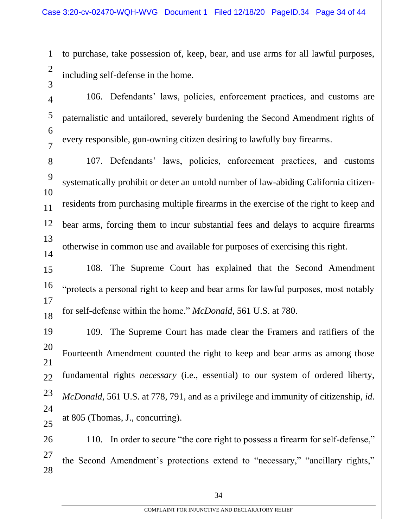1 2 3 to purchase, take possession of, keep, bear, and use arms for all lawful purposes, including self-defense in the home.

4 5 6 7 106. Defendants' laws, policies, enforcement practices, and customs are paternalistic and untailored, severely burdening the Second Amendment rights of every responsible, gun-owning citizen desiring to lawfully buy firearms.

8 9 10 11 12 13 14 107. Defendants' laws, policies, enforcement practices, and customs systematically prohibit or deter an untold number of law-abiding California citizenresidents from purchasing multiple firearms in the exercise of the right to keep and bear arms, forcing them to incur substantial fees and delays to acquire firearms otherwise in common use and available for purposes of exercising this right.

15 16 17 18 108. The Supreme Court has explained that the Second Amendment "protects a personal right to keep and bear arms for lawful purposes, most notably for self-defense within the home." *McDonald*, 561 U.S. at 780.

19 20 21 22 23 24 25 109. The Supreme Court has made clear the Framers and ratifiers of the Fourteenth Amendment counted the right to keep and bear arms as among those fundamental rights *necessary* (i.e., essential) to our system of ordered liberty, *McDonald*, 561 U.S. at 778, 791, and as a privilege and immunity of citizenship, *id*. at 805 (Thomas, J., concurring).

26 27 28 110. In order to secure "the core right to possess a firearm for self-defense," the Second Amendment's protections extend to "necessary," "ancillary rights,"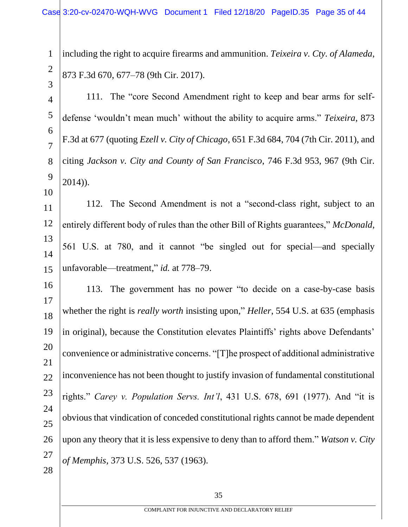1 2 3 including the right to acquire firearms and ammunition. *Teixeira v. Cty. of Alameda*, 873 F.3d 670, 677–78 (9th Cir. 2017).

4 5 6 7 8 9 111. The "core Second Amendment right to keep and bear arms for selfdefense 'wouldn't mean much' without the ability to acquire arms." *Teixeira*, 873 F.3d at 677 (quoting *Ezell v. City of Chicago*, 651 F.3d 684, 704 (7th Cir. 2011), and citing *Jackson v. City and County of San Francisco*, 746 F.3d 953, 967 (9th Cir. 2014)).

11 12 13 14 15 112. The Second Amendment is not a "second-class right, subject to an entirely different body of rules than the other Bill of Rights guarantees," *McDonald*, 561 U.S. at 780, and it cannot "be singled out for special—and specially unfavorable—treatment," *id.* at 778–79.

10

16 17 18 19 20 21 22 23 24 25 26 27 28 113. The government has no power "to decide on a case-by-case basis whether the right is *really worth* insisting upon," *Heller*, 554 U.S. at 635 (emphasis in original), because the Constitution elevates Plaintiffs' rights above Defendants' convenience or administrative concerns. "[T]he prospect of additional administrative inconvenience has not been thought to justify invasion of fundamental constitutional rights." *Carey v. Population Servs. Int'l*, 431 U.S. 678, 691 (1977). And "it is obvious that vindication of conceded constitutional rights cannot be made dependent upon any theory that it is less expensive to deny than to afford them." *Watson v. City of Memphis*, 373 U.S. 526, 537 (1963).

35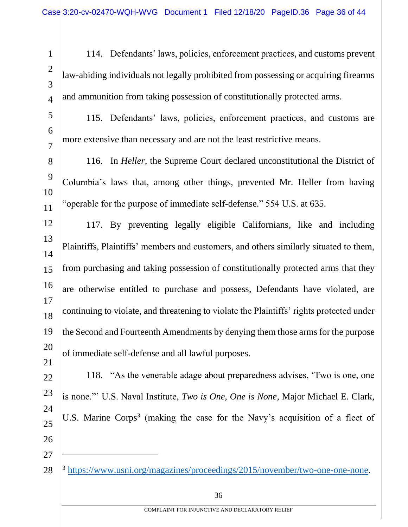2 3

4

27

1

114. Defendants' laws, policies, enforcement practices, and customs prevent law-abiding individuals not legally prohibited from possessing or acquiring firearms and ammunition from taking possession of constitutionally protected arms.

- 5 6 7 115. Defendants' laws, policies, enforcement practices, and customs are more extensive than necessary and are not the least restrictive means.
- 8 9 10 11 116. In *Heller*, the Supreme Court declared unconstitutional the District of Columbia's laws that, among other things, prevented Mr. Heller from having "operable for the purpose of immediate self-defense." 554 U.S. at 635.

12 13 14 15 16 17 18 19 20 21 117. By preventing legally eligible Californians, like and including Plaintiffs, Plaintiffs' members and customers, and others similarly situated to them, from purchasing and taking possession of constitutionally protected arms that they are otherwise entitled to purchase and possess, Defendants have violated, are continuing to violate, and threatening to violate the Plaintiffs' rights protected under the Second and Fourteenth Amendments by denying them those arms for the purpose of immediate self-defense and all lawful purposes.

- 22 23 24 25 26 118. "As the venerable adage about preparedness advises, 'Two is one, one is none."' U.S. Naval Institute, *Two is One, One is None*, Major Michael E. Clark, U.S. Marine Corps<sup>3</sup> (making the case for the Navy's acquisition of a fleet of
- 28 <sup>3</sup> https://www.usni.org/magazines/proceedings/2015/november/two-one-one-none.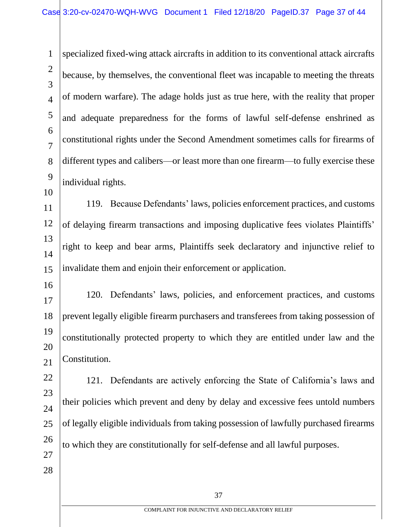1 2 3 4 5 6 7 8 9 10 specialized fixed-wing attack aircrafts in addition to its conventional attack aircrafts because, by themselves, the conventional fleet was incapable to meeting the threats of modern warfare). The adage holds just as true here, with the reality that proper and adequate preparedness for the forms of lawful self-defense enshrined as constitutional rights under the Second Amendment sometimes calls for firearms of different types and calibers—or least more than one firearm—to fully exercise these individual rights.

11 12 13 14 15 119. Because Defendants' laws, policies enforcement practices, and customs of delaying firearm transactions and imposing duplicative fees violates Plaintiffs' right to keep and bear arms, Plaintiffs seek declaratory and injunctive relief to invalidate them and enjoin their enforcement or application.

16

27

28

17 18 19 20 21 120. Defendants' laws, policies, and enforcement practices, and customs prevent legally eligible firearm purchasers and transferees from taking possession of constitutionally protected property to which they are entitled under law and the Constitution.

22 23 24 25 26 121. Defendants are actively enforcing the State of California's laws and their policies which prevent and deny by delay and excessive fees untold numbers of legally eligible individuals from taking possession of lawfully purchased firearms to which they are constitutionally for self-defense and all lawful purposes.

37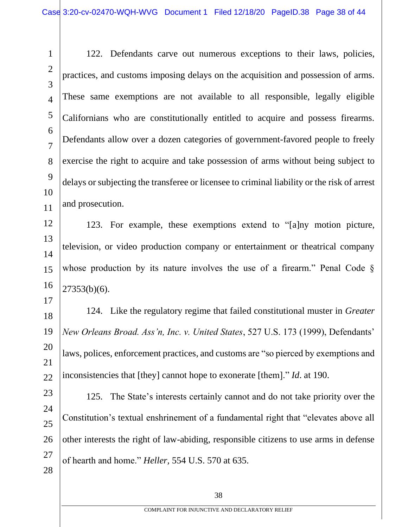1  $\mathcal{D}_{\mathcal{L}}$ 3 4 5 6 7 8 9 10 11 122. Defendants carve out numerous exceptions to their laws, policies, practices, and customs imposing delays on the acquisition and possession of arms. These same exemptions are not available to all responsible, legally eligible Californians who are constitutionally entitled to acquire and possess firearms. Defendants allow over a dozen categories of government-favored people to freely exercise the right to acquire and take possession of arms without being subject to delays or subjecting the transferee or licensee to criminal liability or the risk of arrest and prosecution.

12 13 14 15 16 123. For example, these exemptions extend to "[a]ny motion picture, television, or video production company or entertainment or theatrical company whose production by its nature involves the use of a firearm." Penal Code §  $27353(b)(6)$ .

18 19 20 21 22 124. Like the regulatory regime that failed constitutional muster in *Greater New Orleans Broad. Ass'n, Inc. v. United States*, 527 U.S. 173 (1999), Defendants' laws, polices, enforcement practices, and customs are "so pierced by exemptions and inconsistencies that [they] cannot hope to exonerate [them]." *Id*. at 190.

17

23 24 25 26 27 28 125. The State's interests certainly cannot and do not take priority over the Constitution's textual enshrinement of a fundamental right that "elevates above all other interests the right of law-abiding, responsible citizens to use arms in defense of hearth and home." *Heller,* 554 U.S. 570 at 635.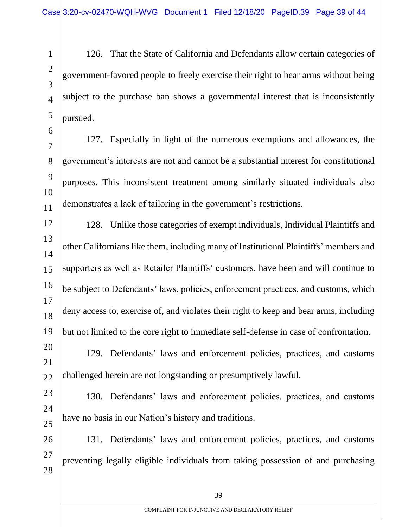1  $\mathcal{D}_{\mathcal{L}}$ 3 4 5 126. That the State of California and Defendants allow certain categories of government-favored people to freely exercise their right to bear arms without being subject to the purchase ban shows a governmental interest that is inconsistently pursued.

6

7 8 9 10 11 127. Especially in light of the numerous exemptions and allowances, the government's interests are not and cannot be a substantial interest for constitutional purposes. This inconsistent treatment among similarly situated individuals also demonstrates a lack of tailoring in the government's restrictions.

12 13 14 15 16 17 18 19 128. Unlike those categories of exempt individuals, Individual Plaintiffs and other Californians like them, including many of Institutional Plaintiffs' members and supporters as well as Retailer Plaintiffs' customers, have been and will continue to be subject to Defendants' laws, policies, enforcement practices, and customs, which deny access to, exercise of, and violates their right to keep and bear arms, including but not limited to the core right to immediate self-defense in case of confrontation.

20 21 22 129. Defendants' laws and enforcement policies, practices, and customs challenged herein are not longstanding or presumptively lawful.

23 24

25

130. Defendants' laws and enforcement policies, practices, and customs have no basis in our Nation's history and traditions.

26 27 28 131. Defendants' laws and enforcement policies, practices, and customs preventing legally eligible individuals from taking possession of and purchasing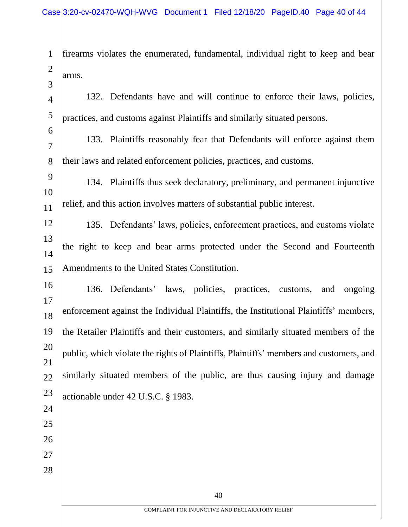firearms violates the enumerated, fundamental, individual right to keep and bear arms.

 132. Defendants have and will continue to enforce their laws, policies, practices, and customs against Plaintiffs and similarly situated persons.

 133. Plaintiffs reasonably fear that Defendants will enforce against them their laws and related enforcement policies, practices, and customs.

 134. Plaintiffs thus seek declaratory, preliminary, and permanent injunctive relief, and this action involves matters of substantial public interest.

 135. Defendants' laws, policies, enforcement practices, and customs violate the right to keep and bear arms protected under the Second and Fourteenth Amendments to the United States Constitution.

 136. Defendants' laws, policies, practices, customs, and ongoing enforcement against the Individual Plaintiffs, the Institutional Plaintiffs' members, the Retailer Plaintiffs and their customers, and similarly situated members of the public, which violate the rights of Plaintiffs, Plaintiffs' members and customers, and similarly situated members of the public, are thus causing injury and damage actionable under 42 U.S.C. § 1983.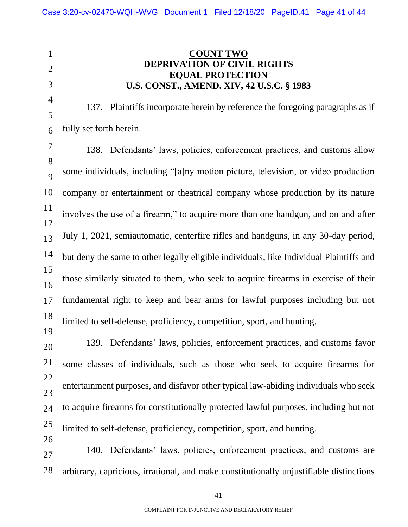1  $\mathfrak{D}$ 3 4 5 6 7 8 9 10 11 12 13 14 15 16 17 18 19 **COUNT TWO DEPRIVATION OF CIVIL RIGHTS EQUAL PROTECTION U.S. CONST., AMEND. XIV, 42 U.S.C. § 1983** 137. Plaintiffs incorporate herein by reference the foregoing paragraphs as if fully set forth herein. 138. Defendants' laws, policies, enforcement practices, and customs allow some individuals, including "[a]ny motion picture, television, or video production company or entertainment or theatrical company whose production by its nature involves the use of a firearm," to acquire more than one handgun, and on and after July 1, 2021, semiautomatic, centerfire rifles and handguns, in any 30-day period, but deny the same to other legally eligible individuals, like Individual Plaintiffs and those similarly situated to them, who seek to acquire firearms in exercise of their fundamental right to keep and bear arms for lawful purposes including but not limited to self-defense, proficiency, competition, sport, and hunting. 139. Defendants' laws, policies, enforcement practices, and customs favor

20 21 22 23 24 25 26 some classes of individuals, such as those who seek to acquire firearms for entertainment purposes, and disfavor other typical law-abiding individuals who seek to acquire firearms for constitutionally protected lawful purposes, including but not limited to self-defense, proficiency, competition, sport, and hunting.

27 28 140. Defendants' laws, policies, enforcement practices, and customs are arbitrary, capricious, irrational, and make constitutionally unjustifiable distinctions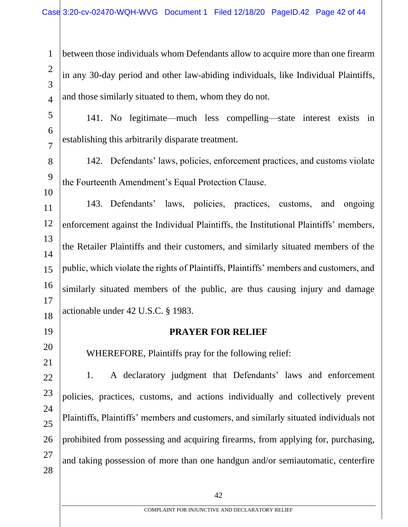1 2 3 4 between those individuals whom Defendants allow to acquire more than one firearm in any 30-day period and other law-abiding individuals, like Individual Plaintiffs, and those similarly situated to them, whom they do not.

- 5 6 7 141. No legitimate—much less compelling—state interest exists in establishing this arbitrarily disparate treatment.
- 8 9 142. Defendants' laws, policies, enforcement practices, and customs violate the Fourteenth Amendment's Equal Protection Clause.

11 12 13 14 15 16 17 18 143. Defendants' laws, policies, practices, customs, and ongoing enforcement against the Individual Plaintiffs, the Institutional Plaintiffs' members, the Retailer Plaintiffs and their customers, and similarly situated members of the public, which violate the rights of Plaintiffs, Plaintiffs' members and customers, and similarly situated members of the public, are thus causing injury and damage actionable under 42 U.S.C. § 1983.

19

10

20 21

## **PRAYER FOR RELIEF**

WHEREFORE, Plaintiffs pray for the following relief:

22 23 24 25 26 27 28 1. A declaratory judgment that Defendants' laws and enforcement policies, practices, customs, and actions individually and collectively prevent Plaintiffs, Plaintiffs' members and customers, and similarly situated individuals not prohibited from possessing and acquiring firearms, from applying for, purchasing, and taking possession of more than one handgun and/or semiautomatic, centerfire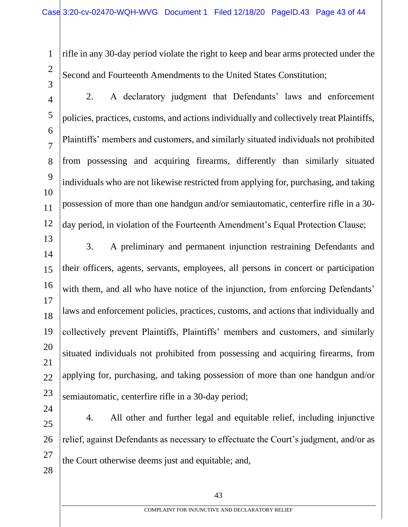2 3

1

rifle in any 30-day period violate the right to keep and bear arms protected under the Second and Fourteenth Amendments to the United States Constitution;

- 4 5 6 7 8 9 10 11 12 2. A declaratory judgment that Defendants' laws and enforcement policies, practices, customs, and actions individually and collectively treat Plaintiffs, Plaintiffs' members and customers, and similarly situated individuals not prohibited from possessing and acquiring firearms, differently than similarly situated individuals who are not likewise restricted from applying for, purchasing, and taking possession of more than one handgun and/or semiautomatic, centerfire rifle in a 30 day period, in violation of the Fourteenth Amendment's Equal Protection Clause;
- 13 14 15 16 17 18 19 20 21 22 23 3. A preliminary and permanent injunction restraining Defendants and their officers, agents, servants, employees, all persons in concert or participation with them, and all who have notice of the injunction, from enforcing Defendants' laws and enforcement policies, practices, customs, and actions that individually and collectively prevent Plaintiffs, Plaintiffs' members and customers, and similarly situated individuals not prohibited from possessing and acquiring firearms, from applying for, purchasing, and taking possession of more than one handgun and/or semiautomatic, centerfire rifle in a 30-day period;
- 24 25 26 27 28 4. All other and further legal and equitable relief, including injunctive relief, against Defendants as necessary to effectuate the Court's judgment, and/or as the Court otherwise deems just and equitable; and,